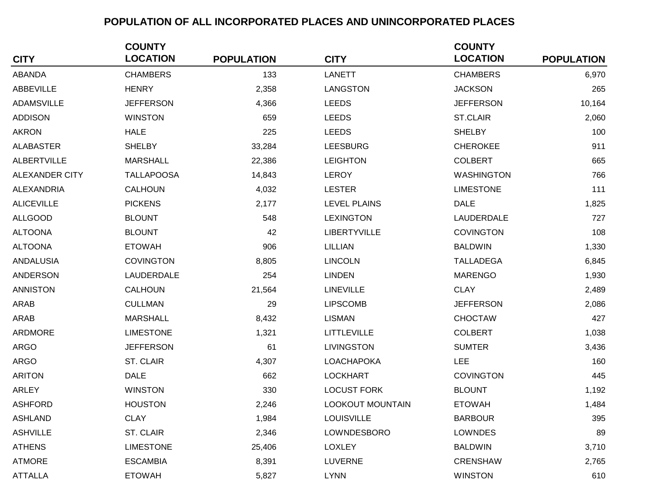## **POPULATION OF ALL INCORPORATED PLACES AND UNINCORPORATED PLACES**

|                       | <b>COUNTY</b>     |                   |                         | <b>COUNTY</b>     |                   |
|-----------------------|-------------------|-------------------|-------------------------|-------------------|-------------------|
| <b>CITY</b>           | <b>LOCATION</b>   | <b>POPULATION</b> | <b>CITY</b>             | <b>LOCATION</b>   | <b>POPULATION</b> |
| <b>ABANDA</b>         | <b>CHAMBERS</b>   | 133               | <b>LANETT</b>           | <b>CHAMBERS</b>   | 6,970             |
| <b>ABBEVILLE</b>      | <b>HENRY</b>      | 2,358             | LANGSTON                | <b>JACKSON</b>    | 265               |
| <b>ADAMSVILLE</b>     | <b>JEFFERSON</b>  | 4,366             | <b>LEEDS</b>            | <b>JEFFERSON</b>  | 10,164            |
| <b>ADDISON</b>        | <b>WINSTON</b>    | 659               | <b>LEEDS</b>            | <b>ST.CLAIR</b>   | 2,060             |
| <b>AKRON</b>          | <b>HALE</b>       | 225               | <b>LEEDS</b>            | <b>SHELBY</b>     | 100               |
| <b>ALABASTER</b>      | <b>SHELBY</b>     | 33,284            | <b>LEESBURG</b>         | <b>CHEROKEE</b>   | 911               |
| <b>ALBERTVILLE</b>    | <b>MARSHALL</b>   | 22,386            | <b>LEIGHTON</b>         | <b>COLBERT</b>    | 665               |
| <b>ALEXANDER CITY</b> | <b>TALLAPOOSA</b> | 14,843            | <b>LEROY</b>            | <b>WASHINGTON</b> | 766               |
| <b>ALEXANDRIA</b>     | CALHOUN           | 4,032             | <b>LESTER</b>           | <b>LIMESTONE</b>  | 111               |
| <b>ALICEVILLE</b>     | <b>PICKENS</b>    | 2,177             | <b>LEVEL PLAINS</b>     | <b>DALE</b>       | 1,825             |
| <b>ALLGOOD</b>        | <b>BLOUNT</b>     | 548               | <b>LEXINGTON</b>        | LAUDERDALE        | 727               |
| <b>ALTOONA</b>        | <b>BLOUNT</b>     | 42                | <b>LIBERTYVILLE</b>     | <b>COVINGTON</b>  | 108               |
| <b>ALTOONA</b>        | <b>ETOWAH</b>     | 906               | LILLIAN                 | <b>BALDWIN</b>    | 1,330             |
| <b>ANDALUSIA</b>      | <b>COVINGTON</b>  | 8,805             | <b>LINCOLN</b>          | <b>TALLADEGA</b>  | 6,845             |
| <b>ANDERSON</b>       | LAUDERDALE        | 254               | <b>LINDEN</b>           | <b>MARENGO</b>    | 1,930             |
| <b>ANNISTON</b>       | <b>CALHOUN</b>    | 21,564            | <b>LINEVILLE</b>        | <b>CLAY</b>       | 2,489             |
| <b>ARAB</b>           | <b>CULLMAN</b>    | 29                | <b>LIPSCOMB</b>         | <b>JEFFERSON</b>  | 2,086             |
| <b>ARAB</b>           | <b>MARSHALL</b>   | 8,432             | <b>LISMAN</b>           | <b>CHOCTAW</b>    | 427               |
| <b>ARDMORE</b>        | <b>LIMESTONE</b>  | 1,321             | <b>LITTLEVILLE</b>      | <b>COLBERT</b>    | 1,038             |
| <b>ARGO</b>           | <b>JEFFERSON</b>  | 61                | <b>LIVINGSTON</b>       | <b>SUMTER</b>     | 3,436             |
| <b>ARGO</b>           | ST. CLAIR         | 4,307             | <b>LOACHAPOKA</b>       | <b>LEE</b>        | 160               |
| <b>ARITON</b>         | <b>DALE</b>       | 662               | <b>LOCKHART</b>         | <b>COVINGTON</b>  | 445               |
| ARLEY                 | <b>WINSTON</b>    | 330               | <b>LOCUST FORK</b>      | <b>BLOUNT</b>     | 1,192             |
| <b>ASHFORD</b>        | <b>HOUSTON</b>    | 2,246             | <b>LOOKOUT MOUNTAIN</b> | <b>ETOWAH</b>     | 1,484             |
| <b>ASHLAND</b>        | <b>CLAY</b>       | 1,984             | <b>LOUISVILLE</b>       | <b>BARBOUR</b>    | 395               |
| <b>ASHVILLE</b>       | ST. CLAIR         | 2,346             | LOWNDESBORO             | LOWNDES           | 89                |
| <b>ATHENS</b>         | <b>LIMESTONE</b>  | 25,406            | <b>LOXLEY</b>           | <b>BALDWIN</b>    | 3,710             |
| <b>ATMORE</b>         | <b>ESCAMBIA</b>   | 8,391             | <b>LUVERNE</b>          | <b>CRENSHAW</b>   | 2,765             |
| <b>ATTALLA</b>        | <b>ETOWAH</b>     | 5,827             | <b>LYNN</b>             | <b>WINSTON</b>    | 610               |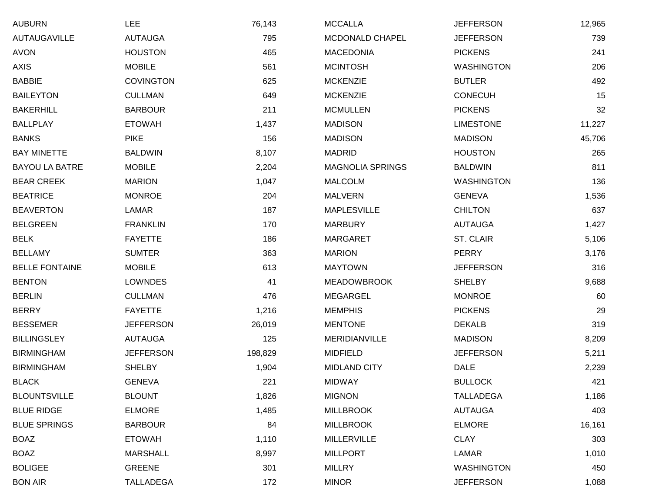| AUBURN                | <b>LEE</b>       | 76,143  | <b>MCCALLA</b>          | <b>JEFFERSON</b>  | 12,965 |
|-----------------------|------------------|---------|-------------------------|-------------------|--------|
| <b>AUTAUGAVILLE</b>   | <b>AUTAUGA</b>   | 795     | MCDONALD CHAPEL         | <b>JEFFERSON</b>  | 739    |
| AVON                  | <b>HOUSTON</b>   | 465     | <b>MACEDONIA</b>        | <b>PICKENS</b>    | 241    |
| AXIS                  | <b>MOBILE</b>    | 561     | <b>MCINTOSH</b>         | WASHINGTON        | 206    |
| BABBIE                | <b>COVINGTON</b> | 625     | <b>MCKENZIE</b>         | <b>BUTLER</b>     | 492    |
| <b>BAILEYTON</b>      | <b>CULLMAN</b>   | 649     | <b>MCKENZIE</b>         | <b>CONECUH</b>    | 15     |
| BAKERHILL             | <b>BARBOUR</b>   | 211     | <b>MCMULLEN</b>         | <b>PICKENS</b>    | 32     |
| <b>BALLPLAY</b>       | <b>ETOWAH</b>    | 1,437   | <b>MADISON</b>          | <b>LIMESTONE</b>  | 11,227 |
| BANKS                 | <b>PIKE</b>      | 156     | <b>MADISON</b>          | <b>MADISON</b>    | 45,706 |
| <b>BAY MINETTE</b>    | <b>BALDWIN</b>   | 8,107   | <b>MADRID</b>           | <b>HOUSTON</b>    | 265    |
| <b>BAYOU LA BATRE</b> | <b>MOBILE</b>    | 2,204   | <b>MAGNOLIA SPRINGS</b> | <b>BALDWIN</b>    | 811    |
| <b>BEAR CREEK</b>     | <b>MARION</b>    | 1,047   | <b>MALCOLM</b>          | <b>WASHINGTON</b> | 136    |
| <b>BEATRICE</b>       | <b>MONROE</b>    | 204     | <b>MALVERN</b>          | <b>GENEVA</b>     | 1,536  |
| <b>BEAVERTON</b>      | LAMAR            | 187     | <b>MAPLESVILLE</b>      | <b>CHILTON</b>    | 637    |
| BELGREEN              | <b>FRANKLIN</b>  | 170     | <b>MARBURY</b>          | <b>AUTAUGA</b>    | 1,427  |
| <b>BELK</b>           | <b>FAYETTE</b>   | 186     | <b>MARGARET</b>         | ST. CLAIR         | 5,106  |
| <b>BELLAMY</b>        | <b>SUMTER</b>    | 363     | <b>MARION</b>           | <b>PERRY</b>      | 3,176  |
| <b>BELLE FONTAINE</b> | <b>MOBILE</b>    | 613     | <b>MAYTOWN</b>          | <b>JEFFERSON</b>  | 316    |
| BENTON                | <b>LOWNDES</b>   | 41      | <b>MEADOWBROOK</b>      | <b>SHELBY</b>     | 9,688  |
| BERLIN                | <b>CULLMAN</b>   | 476     | <b>MEGARGEL</b>         | <b>MONROE</b>     | 60     |
| BERRY                 | <b>FAYETTE</b>   | 1,216   | <b>MEMPHIS</b>          | <b>PICKENS</b>    | 29     |
| <b>BESSEMER</b>       | <b>JEFFERSON</b> | 26,019  | <b>MENTONE</b>          | <b>DEKALB</b>     | 319    |
| BILLINGSLEY           | <b>AUTAUGA</b>   | 125     | <b>MERIDIANVILLE</b>    | <b>MADISON</b>    | 8,209  |
| <b>BIRMINGHAM</b>     | <b>JEFFERSON</b> | 198,829 | <b>MIDFIELD</b>         | <b>JEFFERSON</b>  | 5,211  |
| BIRMINGHAM            | <b>SHELBY</b>    | 1,904   | <b>MIDLAND CITY</b>     | <b>DALE</b>       | 2,239  |
| <b>BLACK</b>          | <b>GENEVA</b>    | 221     | <b>MIDWAY</b>           | <b>BULLOCK</b>    | 421    |
| <b>BLOUNTSVILLE</b>   | <b>BLOUNT</b>    | 1,826   | <b>MIGNON</b>           | <b>TALLADEGA</b>  | 1,186  |
| <b>BLUE RIDGE</b>     | <b>ELMORE</b>    | 1,485   | <b>MILLBROOK</b>        | <b>AUTAUGA</b>    | 403    |
| <b>BLUE SPRINGS</b>   | <b>BARBOUR</b>   | 84      | <b>MILLBROOK</b>        | <b>ELMORE</b>     | 16,161 |
| BOAZ                  | <b>ETOWAH</b>    | 1,110   | <b>MILLERVILLE</b>      | <b>CLAY</b>       | 303    |
| BOAZ                  | <b>MARSHALL</b>  | 8,997   | <b>MILLPORT</b>         | LAMAR             | 1,010  |
| <b>BOLIGEE</b>        | <b>GREENE</b>    | 301     | <b>MILLRY</b>           | <b>WASHINGTON</b> | 450    |
| <b>BON AIR</b>        | <b>TALLADEGA</b> | 172     | <b>MINOR</b>            | <b>JEFFERSON</b>  | 1,088  |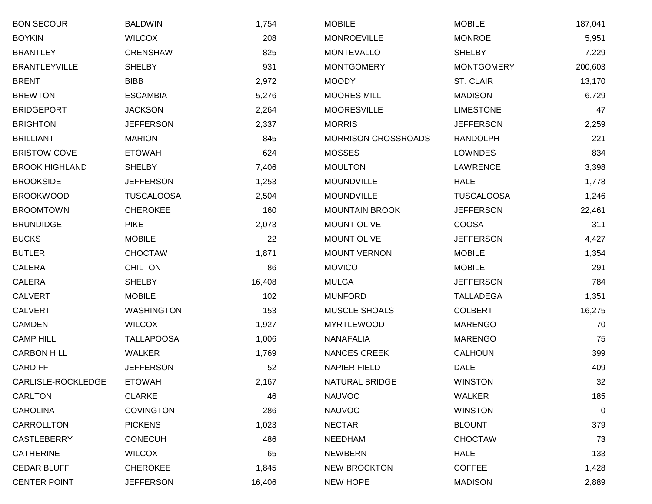| <b>BON SECOUR</b>     | <b>BALDWIN</b>    | 1,754  | <b>MOBILE</b>              | <b>MOBILE</b>     | 187,041     |
|-----------------------|-------------------|--------|----------------------------|-------------------|-------------|
| <b>BOYKIN</b>         | <b>WILCOX</b>     | 208    | <b>MONROEVILLE</b>         | <b>MONROE</b>     | 5,951       |
| <b>BRANTLEY</b>       | <b>CRENSHAW</b>   | 825    | <b>MONTEVALLO</b>          | <b>SHELBY</b>     | 7,229       |
| <b>BRANTLEYVILLE</b>  | <b>SHELBY</b>     | 931    | <b>MONTGOMERY</b>          | <b>MONTGOMERY</b> | 200,603     |
| <b>BRENT</b>          | <b>BIBB</b>       | 2,972  | <b>MOODY</b>               | ST. CLAIR         | 13,170      |
| <b>BREWTON</b>        | <b>ESCAMBIA</b>   | 5,276  | <b>MOORES MILL</b>         | <b>MADISON</b>    | 6,729       |
| <b>BRIDGEPORT</b>     | <b>JACKSON</b>    | 2,264  | <b>MOORESVILLE</b>         | <b>LIMESTONE</b>  | 47          |
| <b>BRIGHTON</b>       | <b>JEFFERSON</b>  | 2,337  | <b>MORRIS</b>              | <b>JEFFERSON</b>  | 2,259       |
| <b>BRILLIANT</b>      | <b>MARION</b>     | 845    | <b>MORRISON CROSSROADS</b> | <b>RANDOLPH</b>   | 221         |
| <b>BRISTOW COVE</b>   | <b>ETOWAH</b>     | 624    | <b>MOSSES</b>              | <b>LOWNDES</b>    | 834         |
| <b>BROOK HIGHLAND</b> | <b>SHELBY</b>     | 7,406  | <b>MOULTON</b>             | LAWRENCE          | 3,398       |
| <b>BROOKSIDE</b>      | <b>JEFFERSON</b>  | 1,253  | <b>MOUNDVILLE</b>          | <b>HALE</b>       | 1,778       |
| <b>BROOKWOOD</b>      | <b>TUSCALOOSA</b> | 2,504  | <b>MOUNDVILLE</b>          | <b>TUSCALOOSA</b> | 1,246       |
| <b>BROOMTOWN</b>      | <b>CHEROKEE</b>   | 160    | <b>MOUNTAIN BROOK</b>      | <b>JEFFERSON</b>  | 22,461      |
| <b>BRUNDIDGE</b>      | <b>PIKE</b>       | 2,073  | <b>MOUNT OLIVE</b>         | <b>COOSA</b>      | 311         |
| <b>BUCKS</b>          | <b>MOBILE</b>     | 22     | <b>MOUNT OLIVE</b>         | <b>JEFFERSON</b>  | 4,427       |
| <b>BUTLER</b>         | <b>CHOCTAW</b>    | 1,871  | <b>MOUNT VERNON</b>        | <b>MOBILE</b>     | 1,354       |
| <b>CALERA</b>         | <b>CHILTON</b>    | 86     | <b>MOVICO</b>              | <b>MOBILE</b>     | 291         |
| <b>CALERA</b>         | <b>SHELBY</b>     | 16,408 | <b>MULGA</b>               | <b>JEFFERSON</b>  | 784         |
| <b>CALVERT</b>        | <b>MOBILE</b>     | 102    | <b>MUNFORD</b>             | <b>TALLADEGA</b>  | 1,351       |
| <b>CALVERT</b>        | <b>WASHINGTON</b> | 153    | MUSCLE SHOALS              | <b>COLBERT</b>    | 16,275      |
| CAMDEN                | <b>WILCOX</b>     | 1,927  | <b>MYRTLEWOOD</b>          | <b>MARENGO</b>    | 70          |
| <b>CAMP HILL</b>      | <b>TALLAPOOSA</b> | 1,006  | <b>NANAFALIA</b>           | <b>MARENGO</b>    | 75          |
| <b>CARBON HILL</b>    | <b>WALKER</b>     | 1,769  | <b>NANCES CREEK</b>        | CALHOUN           | 399         |
| <b>CARDIFF</b>        | <b>JEFFERSON</b>  | 52     | <b>NAPIER FIELD</b>        | <b>DALE</b>       | 409         |
| CARLISLE-ROCKLEDGE    | <b>ETOWAH</b>     | 2,167  | <b>NATURAL BRIDGE</b>      | <b>WINSTON</b>    | 32          |
| <b>CARLTON</b>        | <b>CLARKE</b>     | 46     | <b>NAUVOO</b>              | <b>WALKER</b>     | 185         |
| <b>CAROLINA</b>       | <b>COVINGTON</b>  | 286    | <b>NAUVOO</b>              | <b>WINSTON</b>    | $\mathbf 0$ |
| CARROLLTON            | <b>PICKENS</b>    | 1,023  | <b>NECTAR</b>              | <b>BLOUNT</b>     | 379         |
| <b>CASTLEBERRY</b>    | <b>CONECUH</b>    | 486    | NEEDHAM                    | <b>CHOCTAW</b>    | 73          |
| <b>CATHERINE</b>      | <b>WILCOX</b>     | 65     | <b>NEWBERN</b>             | <b>HALE</b>       | 133         |
| <b>CEDAR BLUFF</b>    | <b>CHEROKEE</b>   | 1,845  | <b>NEW BROCKTON</b>        | <b>COFFEE</b>     | 1,428       |
| <b>CENTER POINT</b>   | <b>JEFFERSON</b>  | 16,406 | NEW HOPE                   | <b>MADISON</b>    | 2,889       |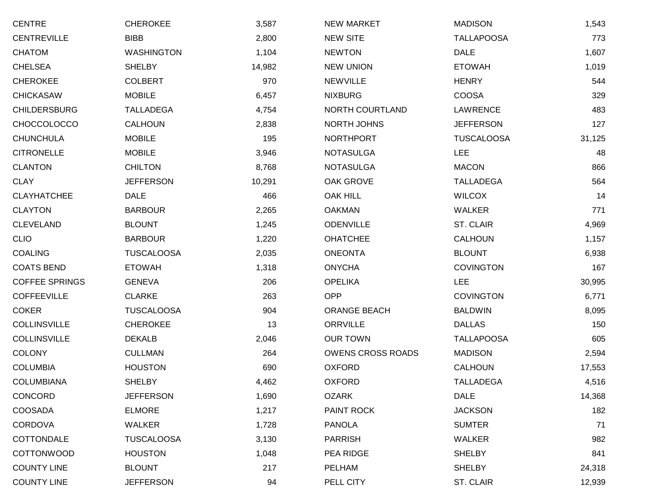| <b>CENTRE</b>         | <b>CHEROKEE</b>   | 3,587  | <b>NEW MARKET</b>        | <b>MADISON</b>    | 1,543  |
|-----------------------|-------------------|--------|--------------------------|-------------------|--------|
| <b>CENTREVILLE</b>    | <b>BIBB</b>       | 2,800  | <b>NEW SITE</b>          | <b>TALLAPOOSA</b> | 773    |
| <b>CHATOM</b>         | <b>WASHINGTON</b> | 1,104  | <b>NEWTON</b>            | <b>DALE</b>       | 1,607  |
| <b>CHELSEA</b>        | <b>SHELBY</b>     | 14,982 | <b>NEW UNION</b>         | <b>ETOWAH</b>     | 1,019  |
| <b>CHEROKEE</b>       | <b>COLBERT</b>    | 970    | <b>NEWVILLE</b>          | <b>HENRY</b>      | 544    |
| <b>CHICKASAW</b>      | <b>MOBILE</b>     | 6,457  | <b>NIXBURG</b>           | <b>COOSA</b>      | 329    |
| <b>CHILDERSBURG</b>   | <b>TALLADEGA</b>  | 4,754  | NORTH COURTLAND          | <b>LAWRENCE</b>   | 483    |
| <b>CHOCCOLOCCO</b>    | <b>CALHOUN</b>    | 2,838  | NORTH JOHNS              | <b>JEFFERSON</b>  | 127    |
| <b>CHUNCHULA</b>      | <b>MOBILE</b>     | 195    | <b>NORTHPORT</b>         | <b>TUSCALOOSA</b> | 31,125 |
| <b>CITRONELLE</b>     | <b>MOBILE</b>     | 3,946  | <b>NOTASULGA</b>         | <b>LEE</b>        | 48     |
| <b>CLANTON</b>        | <b>CHILTON</b>    | 8,768  | <b>NOTASULGA</b>         | <b>MACON</b>      | 866    |
| <b>CLAY</b>           | <b>JEFFERSON</b>  | 10,291 | OAK GROVE                | <b>TALLADEGA</b>  | 564    |
| <b>CLAYHATCHEE</b>    | <b>DALE</b>       | 466    | <b>OAK HILL</b>          | <b>WILCOX</b>     | 14     |
| <b>CLAYTON</b>        | <b>BARBOUR</b>    | 2,265  | <b>OAKMAN</b>            | <b>WALKER</b>     | 771    |
| <b>CLEVELAND</b>      | <b>BLOUNT</b>     | 1,245  | <b>ODENVILLE</b>         | ST. CLAIR         | 4,969  |
| <b>CLIO</b>           | <b>BARBOUR</b>    | 1,220  | <b>OHATCHEE</b>          | <b>CALHOUN</b>    | 1,157  |
| <b>COALING</b>        | <b>TUSCALOOSA</b> | 2,035  | <b>ONEONTA</b>           | <b>BLOUNT</b>     | 6,938  |
| <b>COATS BEND</b>     | <b>ETOWAH</b>     | 1,318  | <b>ONYCHA</b>            | <b>COVINGTON</b>  | 167    |
| <b>COFFEE SPRINGS</b> | <b>GENEVA</b>     | 206    | <b>OPELIKA</b>           | <b>LEE</b>        | 30,995 |
| <b>COFFEEVILLE</b>    | <b>CLARKE</b>     | 263    | <b>OPP</b>               | <b>COVINGTON</b>  | 6,771  |
| <b>COKER</b>          | <b>TUSCALOOSA</b> | 904    | <b>ORANGE BEACH</b>      | <b>BALDWIN</b>    | 8,095  |
| <b>COLLINSVILLE</b>   | <b>CHEROKEE</b>   | 13     | <b>ORRVILLE</b>          | <b>DALLAS</b>     | 150    |
| <b>COLLINSVILLE</b>   | <b>DEKALB</b>     | 2,046  | <b>OUR TOWN</b>          | <b>TALLAPOOSA</b> | 605    |
| <b>COLONY</b>         | <b>CULLMAN</b>    | 264    | <b>OWENS CROSS ROADS</b> | <b>MADISON</b>    | 2,594  |
| <b>COLUMBIA</b>       | <b>HOUSTON</b>    | 690    | <b>OXFORD</b>            | <b>CALHOUN</b>    | 17,553 |
| COLUMBIANA            | <b>SHELBY</b>     | 4,462  | <b>OXFORD</b>            | <b>TALLADEGA</b>  | 4,516  |
| CONCORD               | <b>JEFFERSON</b>  | 1,690  | <b>OZARK</b>             | <b>DALE</b>       | 14,368 |
| COOSADA               | <b>ELMORE</b>     | 1,217  | PAINT ROCK               | <b>JACKSON</b>    | 182    |
| <b>CORDOVA</b>        | WALKER            | 1,728  | <b>PANOLA</b>            | <b>SUMTER</b>     | 71     |
| COTTONDALE            | <b>TUSCALOOSA</b> | 3,130  | <b>PARRISH</b>           | <b>WALKER</b>     | 982    |
| <b>COTTONWOOD</b>     | <b>HOUSTON</b>    | 1,048  | PEA RIDGE                | <b>SHELBY</b>     | 841    |
| <b>COUNTY LINE</b>    | <b>BLOUNT</b>     | 217    | PELHAM                   | <b>SHELBY</b>     | 24,318 |
| <b>COUNTY LINE</b>    | <b>JEFFERSON</b>  | 94     | PELL CITY                | ST. CLAIR         | 12,939 |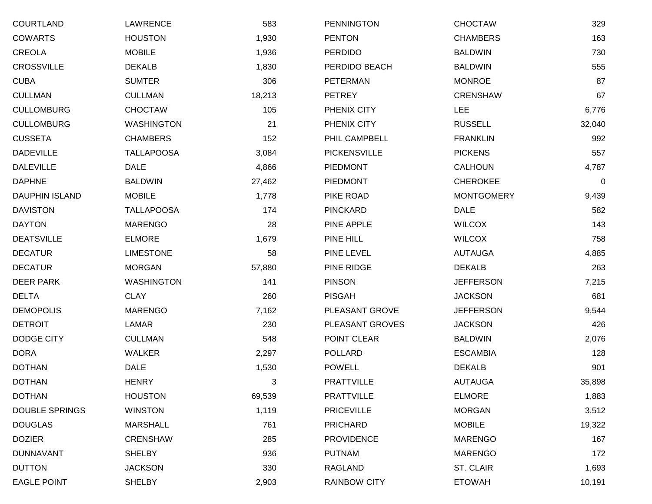| <b>COURTLAND</b>      | LAWRENCE          | 583    | <b>PENNINGTON</b>   | CHOCTAW           | 329    |
|-----------------------|-------------------|--------|---------------------|-------------------|--------|
| <b>COWARTS</b>        | <b>HOUSTON</b>    | 1,930  | <b>PENTON</b>       | <b>CHAMBERS</b>   | 163    |
| CREOLA                | <b>MOBILE</b>     | 1,936  | <b>PERDIDO</b>      | <b>BALDWIN</b>    | 730    |
| <b>CROSSVILLE</b>     | <b>DEKALB</b>     | 1,830  | PERDIDO BEACH       | <b>BALDWIN</b>    | 555    |
| <b>CUBA</b>           | <b>SUMTER</b>     | 306    | <b>PETERMAN</b>     | <b>MONROE</b>     | 87     |
| <b>CULLMAN</b>        | <b>CULLMAN</b>    | 18,213 | <b>PETREY</b>       | <b>CRENSHAW</b>   | 67     |
| <b>CULLOMBURG</b>     | <b>CHOCTAW</b>    | 105    | PHENIX CITY         | LEE               | 6,776  |
| <b>CULLOMBURG</b>     | <b>WASHINGTON</b> | 21     | PHENIX CITY         | <b>RUSSELL</b>    | 32,040 |
| <b>CUSSETA</b>        | <b>CHAMBERS</b>   | 152    | PHIL CAMPBELL       | <b>FRANKLIN</b>   | 992    |
| <b>DADEVILLE</b>      | <b>TALLAPOOSA</b> | 3,084  | <b>PICKENSVILLE</b> | <b>PICKENS</b>    | 557    |
| <b>DALEVILLE</b>      | <b>DALE</b>       | 4,866  | <b>PIEDMONT</b>     | <b>CALHOUN</b>    | 4,787  |
| <b>DAPHNE</b>         | <b>BALDWIN</b>    | 27,462 | <b>PIEDMONT</b>     | <b>CHEROKEE</b>   | 0      |
| <b>DAUPHIN ISLAND</b> | <b>MOBILE</b>     | 1,778  | PIKE ROAD           | <b>MONTGOMERY</b> | 9,439  |
| <b>DAVISTON</b>       | <b>TALLAPOOSA</b> | 174    | <b>PINCKARD</b>     | DALE              | 582    |
| <b>DAYTON</b>         | <b>MARENGO</b>    | 28     | PINE APPLE          | <b>WILCOX</b>     | 143    |
| <b>DEATSVILLE</b>     | <b>ELMORE</b>     | 1,679  | PINE HILL           | <b>WILCOX</b>     | 758    |
| <b>DECATUR</b>        | <b>LIMESTONE</b>  | 58     | PINE LEVEL          | <b>AUTAUGA</b>    | 4,885  |
| <b>DECATUR</b>        | <b>MORGAN</b>     | 57,880 | PINE RIDGE          | <b>DEKALB</b>     | 263    |
| <b>DEER PARK</b>      | <b>WASHINGTON</b> | 141    | <b>PINSON</b>       | <b>JEFFERSON</b>  | 7,215  |
| <b>DELTA</b>          | <b>CLAY</b>       | 260    | <b>PISGAH</b>       | <b>JACKSON</b>    | 681    |
| <b>DEMOPOLIS</b>      | <b>MARENGO</b>    | 7,162  | PLEASANT GROVE      | <b>JEFFERSON</b>  | 9,544  |
| <b>DETROIT</b>        | LAMAR             | 230    | PLEASANT GROVES     | <b>JACKSON</b>    | 426    |
| <b>DODGE CITY</b>     | <b>CULLMAN</b>    | 548    | POINT CLEAR         | <b>BALDWIN</b>    | 2,076  |
| <b>DORA</b>           | WALKER            | 2,297  | <b>POLLARD</b>      | <b>ESCAMBIA</b>   | 128    |
| <b>DOTHAN</b>         | <b>DALE</b>       | 1,530  | <b>POWELL</b>       | <b>DEKALB</b>     | 901    |
| <b>DOTHAN</b>         | <b>HENRY</b>      | 3      | <b>PRATTVILLE</b>   | <b>AUTAUGA</b>    | 35,898 |
| <b>DOTHAN</b>         | <b>HOUSTON</b>    | 69,539 | <b>PRATTVILLE</b>   | <b>ELMORE</b>     | 1,883  |
| <b>DOUBLE SPRINGS</b> | <b>WINSTON</b>    | 1,119  | <b>PRICEVILLE</b>   | <b>MORGAN</b>     | 3,512  |
| <b>DOUGLAS</b>        | <b>MARSHALL</b>   | 761    | <b>PRICHARD</b>     | <b>MOBILE</b>     | 19,322 |
| <b>DOZIER</b>         | <b>CRENSHAW</b>   | 285    | <b>PROVIDENCE</b>   | <b>MARENGO</b>    | 167    |
| <b>DUNNAVANT</b>      | <b>SHELBY</b>     | 936    | <b>PUTNAM</b>       | <b>MARENGO</b>    | 172    |
| <b>DUTTON</b>         | <b>JACKSON</b>    | 330    | RAGLAND             | ST. CLAIR         | 1,693  |
| <b>EAGLE POINT</b>    | <b>SHELBY</b>     | 2,903  | <b>RAINBOW CITY</b> | <b>ETOWAH</b>     | 10,191 |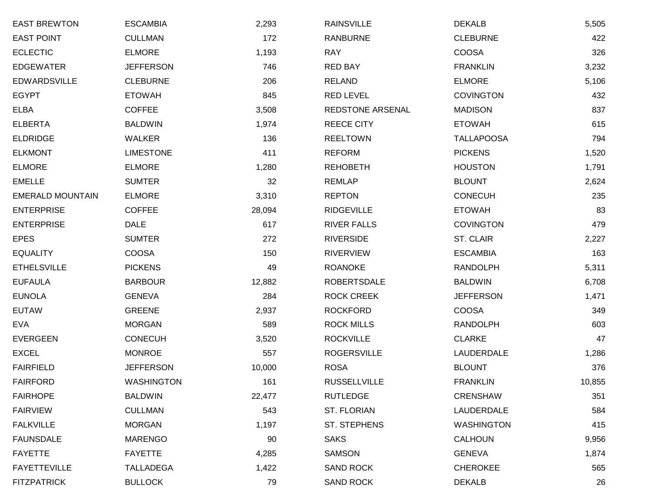| <b>EAST BREWTON</b>     | <b>ESCAMBIA</b>   | 2,293  | <b>RAINSVILLE</b>   | <b>DEKALB</b>     | 5,505  |
|-------------------------|-------------------|--------|---------------------|-------------------|--------|
| <b>EAST POINT</b>       | <b>CULLMAN</b>    | 172    | <b>RANBURNE</b>     | <b>CLEBURNE</b>   | 422    |
| <b>ECLECTIC</b>         | <b>ELMORE</b>     | 1,193  | <b>RAY</b>          | <b>COOSA</b>      | 326    |
| <b>EDGEWATER</b>        | <b>JEFFERSON</b>  | 746    | <b>RED BAY</b>      | <b>FRANKLIN</b>   | 3,232  |
| <b>EDWARDSVILLE</b>     | <b>CLEBURNE</b>   | 206    | <b>RELAND</b>       | <b>ELMORE</b>     | 5,106  |
| <b>EGYPT</b>            | <b>ETOWAH</b>     | 845    | <b>RED LEVEL</b>    | <b>COVINGTON</b>  | 432    |
| <b>ELBA</b>             | <b>COFFEE</b>     | 3,508  | REDSTONE ARSENAL    | <b>MADISON</b>    | 837    |
| <b>ELBERTA</b>          | <b>BALDWIN</b>    | 1,974  | <b>REECE CITY</b>   | <b>ETOWAH</b>     | 615    |
| <b>ELDRIDGE</b>         | <b>WALKER</b>     | 136    | <b>REELTOWN</b>     | <b>TALLAPOOSA</b> | 794    |
| <b>ELKMONT</b>          | <b>LIMESTONE</b>  | 411    | <b>REFORM</b>       | <b>PICKENS</b>    | 1,520  |
| <b>ELMORE</b>           | <b>ELMORE</b>     | 1,280  | <b>REHOBETH</b>     | <b>HOUSTON</b>    | 1,791  |
| <b>EMELLE</b>           | <b>SUMTER</b>     | 32     | <b>REMLAP</b>       | <b>BLOUNT</b>     | 2,624  |
| <b>EMERALD MOUNTAIN</b> | <b>ELMORE</b>     | 3,310  | <b>REPTON</b>       | <b>CONECUH</b>    | 235    |
| <b>ENTERPRISE</b>       | <b>COFFEE</b>     | 28,094 | <b>RIDGEVILLE</b>   | <b>ETOWAH</b>     | 83     |
| <b>ENTERPRISE</b>       | <b>DALE</b>       | 617    | <b>RIVER FALLS</b>  | <b>COVINGTON</b>  | 479    |
| <b>EPES</b>             | <b>SUMTER</b>     | 272    | <b>RIVERSIDE</b>    | ST. CLAIR         | 2,227  |
| <b>EQUALITY</b>         | <b>COOSA</b>      | 150    | <b>RIVERVIEW</b>    | <b>ESCAMBIA</b>   | 163    |
| <b>ETHELSVILLE</b>      | <b>PICKENS</b>    | 49     | <b>ROANOKE</b>      | <b>RANDOLPH</b>   | 5,311  |
| <b>EUFAULA</b>          | <b>BARBOUR</b>    | 12,882 | <b>ROBERTSDALE</b>  | <b>BALDWIN</b>    | 6,708  |
| <b>EUNOLA</b>           | <b>GENEVA</b>     | 284    | <b>ROCK CREEK</b>   | <b>JEFFERSON</b>  | 1,471  |
| <b>EUTAW</b>            | <b>GREENE</b>     | 2,937  | <b>ROCKFORD</b>     | <b>COOSA</b>      | 349    |
| <b>EVA</b>              | <b>MORGAN</b>     | 589    | <b>ROCK MILLS</b>   | <b>RANDOLPH</b>   | 603    |
| <b>EVERGEEN</b>         | <b>CONECUH</b>    | 3,520  | <b>ROCKVILLE</b>    | <b>CLARKE</b>     | 47     |
| <b>EXCEL</b>            | <b>MONROE</b>     | 557    | <b>ROGERSVILLE</b>  | LAUDERDALE        | 1,286  |
| <b>FAIRFIELD</b>        | <b>JEFFERSON</b>  | 10,000 | <b>ROSA</b>         | <b>BLOUNT</b>     | 376    |
| <b>FAIRFORD</b>         | <b>WASHINGTON</b> | 161    | <b>RUSSELLVILLE</b> | <b>FRANKLIN</b>   | 10,855 |
| <b>FAIRHOPE</b>         | <b>BALDWIN</b>    | 22,477 | <b>RUTLEDGE</b>     | <b>CRENSHAW</b>   | 351    |
| <b>FAIRVIEW</b>         | <b>CULLMAN</b>    | 543    | ST. FLORIAN         | LAUDERDALE        | 584    |
| <b>FALKVILLE</b>        | <b>MORGAN</b>     | 1,197  | ST. STEPHENS        | <b>WASHINGTON</b> | 415    |
| <b>FAUNSDALE</b>        | <b>MARENGO</b>    | 90     | <b>SAKS</b>         | <b>CALHOUN</b>    | 9,956  |
| <b>FAYETTE</b>          | <b>FAYETTE</b>    | 4,285  | SAMSON              | <b>GENEVA</b>     | 1,874  |
| <b>FAYETTEVILLE</b>     | <b>TALLADEGA</b>  | 1,422  | <b>SAND ROCK</b>    | <b>CHEROKEE</b>   | 565    |
| <b>FITZPATRICK</b>      | <b>BULLOCK</b>    | 79     | SAND ROCK           | <b>DEKALB</b>     | 26     |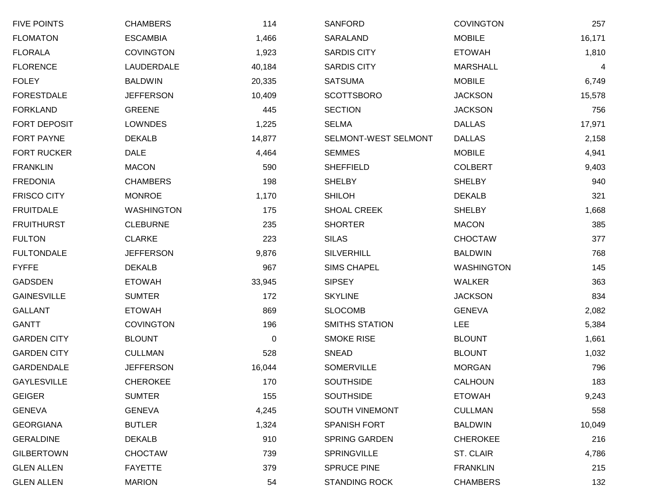| <b>FIVE POINTS</b>  | <b>CHAMBERS</b>   | 114    | <b>SANFORD</b>        | <b>COVINGTON</b>  | 257    |
|---------------------|-------------------|--------|-----------------------|-------------------|--------|
| <b>FLOMATON</b>     | <b>ESCAMBIA</b>   | 1,466  | SARALAND              | <b>MOBILE</b>     | 16,171 |
| <b>FLORALA</b>      | <b>COVINGTON</b>  | 1,923  | <b>SARDIS CITY</b>    | <b>ETOWAH</b>     | 1,810  |
| <b>FLORENCE</b>     | LAUDERDALE        | 40,184 | <b>SARDIS CITY</b>    | <b>MARSHALL</b>   | 4      |
| <b>FOLEY</b>        | <b>BALDWIN</b>    | 20,335 | <b>SATSUMA</b>        | <b>MOBILE</b>     | 6,749  |
| <b>FORESTDALE</b>   | <b>JEFFERSON</b>  | 10,409 | <b>SCOTTSBORO</b>     | <b>JACKSON</b>    | 15,578 |
| <b>FORKLAND</b>     | <b>GREENE</b>     | 445    | <b>SECTION</b>        | <b>JACKSON</b>    | 756    |
| <b>FORT DEPOSIT</b> | <b>LOWNDES</b>    | 1,225  | <b>SELMA</b>          | <b>DALLAS</b>     | 17,971 |
| <b>FORT PAYNE</b>   | <b>DEKALB</b>     | 14,877 | SELMONT-WEST SELMONT  | <b>DALLAS</b>     | 2,158  |
| <b>FORT RUCKER</b>  | <b>DALE</b>       | 4,464  | <b>SEMMES</b>         | <b>MOBILE</b>     | 4,941  |
| <b>FRANKLIN</b>     | <b>MACON</b>      | 590    | <b>SHEFFIELD</b>      | <b>COLBERT</b>    | 9,403  |
| <b>FREDONIA</b>     | <b>CHAMBERS</b>   | 198    | <b>SHELBY</b>         | <b>SHELBY</b>     | 940    |
| <b>FRISCO CITY</b>  | <b>MONROE</b>     | 1,170  | <b>SHILOH</b>         | <b>DEKALB</b>     | 321    |
| <b>FRUITDALE</b>    | <b>WASHINGTON</b> | 175    | <b>SHOAL CREEK</b>    | <b>SHELBY</b>     | 1,668  |
| <b>FRUITHURST</b>   | <b>CLEBURNE</b>   | 235    | <b>SHORTER</b>        | <b>MACON</b>      | 385    |
| <b>FULTON</b>       | <b>CLARKE</b>     | 223    | <b>SILAS</b>          | <b>CHOCTAW</b>    | 377    |
| <b>FULTONDALE</b>   | <b>JEFFERSON</b>  | 9,876  | <b>SILVERHILL</b>     | <b>BALDWIN</b>    | 768    |
| <b>FYFFE</b>        | <b>DEKALB</b>     | 967    | <b>SIMS CHAPEL</b>    | <b>WASHINGTON</b> | 145    |
| GADSDEN             | <b>ETOWAH</b>     | 33,945 | <b>SIPSEY</b>         | WALKER            | 363    |
| <b>GAINESVILLE</b>  | <b>SUMTER</b>     | 172    | <b>SKYLINE</b>        | <b>JACKSON</b>    | 834    |
| <b>GALLANT</b>      | <b>ETOWAH</b>     | 869    | <b>SLOCOMB</b>        | <b>GENEVA</b>     | 2,082  |
| <b>GANTT</b>        | <b>COVINGTON</b>  | 196    | <b>SMITHS STATION</b> | <b>LEE</b>        | 5,384  |
| <b>GARDEN CITY</b>  | <b>BLOUNT</b>     | 0      | <b>SMOKE RISE</b>     | <b>BLOUNT</b>     | 1,661  |
| <b>GARDEN CITY</b>  | <b>CULLMAN</b>    | 528    | <b>SNEAD</b>          | <b>BLOUNT</b>     | 1,032  |
| <b>GARDENDALE</b>   | <b>JEFFERSON</b>  | 16,044 | <b>SOMERVILLE</b>     | <b>MORGAN</b>     | 796    |
| <b>GAYLESVILLE</b>  | <b>CHEROKEE</b>   | 170    | <b>SOUTHSIDE</b>      | <b>CALHOUN</b>    | 183    |
| <b>GEIGER</b>       | <b>SUMTER</b>     | 155    | <b>SOUTHSIDE</b>      | <b>ETOWAH</b>     | 9,243  |
| <b>GENEVA</b>       | <b>GENEVA</b>     | 4,245  | SOUTH VINEMONT        | <b>CULLMAN</b>    | 558    |
| <b>GEORGIANA</b>    | <b>BUTLER</b>     | 1,324  | <b>SPANISH FORT</b>   | <b>BALDWIN</b>    | 10,049 |
| <b>GERALDINE</b>    | <b>DEKALB</b>     | 910    | <b>SPRING GARDEN</b>  | <b>CHEROKEE</b>   | 216    |
| <b>GILBERTOWN</b>   | <b>CHOCTAW</b>    | 739    | <b>SPRINGVILLE</b>    | ST. CLAIR         | 4,786  |
| <b>GLEN ALLEN</b>   | <b>FAYETTE</b>    | 379    | <b>SPRUCE PINE</b>    | <b>FRANKLIN</b>   | 215    |
| <b>GLEN ALLEN</b>   | <b>MARION</b>     | 54     | <b>STANDING ROCK</b>  | <b>CHAMBERS</b>   | 132    |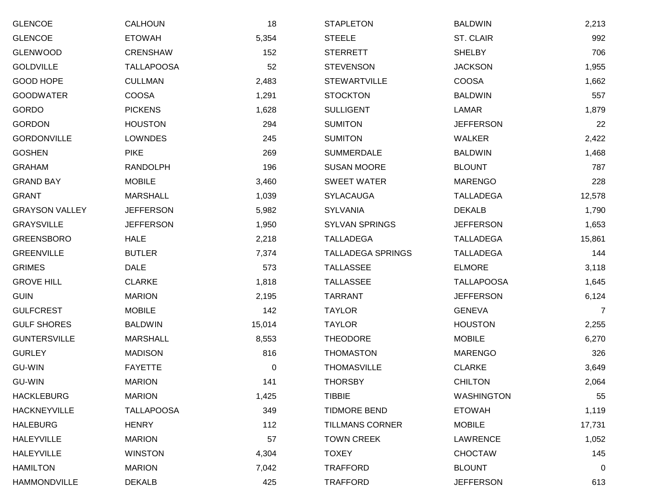| <b>GLENCOE</b>        | <b>CALHOUN</b>    | 18     | <b>STAPLETON</b>         | <b>BALDWIN</b>    | 2,213  |
|-----------------------|-------------------|--------|--------------------------|-------------------|--------|
| <b>GLENCOE</b>        | <b>ETOWAH</b>     | 5,354  | <b>STEELE</b>            | ST. CLAIR         | 992    |
| <b>GLENWOOD</b>       | <b>CRENSHAW</b>   | 152    | <b>STERRETT</b>          | <b>SHELBY</b>     | 706    |
| <b>GOLDVILLE</b>      | <b>TALLAPOOSA</b> | 52     | <b>STEVENSON</b>         | <b>JACKSON</b>    | 1,955  |
| GOOD HOPE             | <b>CULLMAN</b>    | 2,483  | <b>STEWARTVILLE</b>      | <b>COOSA</b>      | 1,662  |
| <b>GOODWATER</b>      | <b>COOSA</b>      | 1,291  | <b>STOCKTON</b>          | <b>BALDWIN</b>    | 557    |
| GORDO                 | <b>PICKENS</b>    | 1,628  | <b>SULLIGENT</b>         | LAMAR             | 1,879  |
| <b>GORDON</b>         | <b>HOUSTON</b>    | 294    | <b>SUMITON</b>           | <b>JEFFERSON</b>  | 22     |
| <b>GORDONVILLE</b>    | <b>LOWNDES</b>    | 245    | <b>SUMITON</b>           | <b>WALKER</b>     | 2,422  |
| <b>GOSHEN</b>         | <b>PIKE</b>       | 269    | <b>SUMMERDALE</b>        | <b>BALDWIN</b>    | 1,468  |
| <b>GRAHAM</b>         | <b>RANDOLPH</b>   | 196    | <b>SUSAN MOORE</b>       | <b>BLOUNT</b>     | 787    |
| <b>GRAND BAY</b>      | <b>MOBILE</b>     | 3,460  | <b>SWEET WATER</b>       | <b>MARENGO</b>    | 228    |
| <b>GRANT</b>          | <b>MARSHALL</b>   | 1,039  | <b>SYLACAUGA</b>         | <b>TALLADEGA</b>  | 12,578 |
| <b>GRAYSON VALLEY</b> | <b>JEFFERSON</b>  | 5,982  | <b>SYLVANIA</b>          | <b>DEKALB</b>     | 1,790  |
| <b>GRAYSVILLE</b>     | <b>JEFFERSON</b>  | 1,950  | <b>SYLVAN SPRINGS</b>    | <b>JEFFERSON</b>  | 1,653  |
| <b>GREENSBORO</b>     | <b>HALE</b>       | 2,218  | <b>TALLADEGA</b>         | <b>TALLADEGA</b>  | 15,861 |
| <b>GREENVILLE</b>     | <b>BUTLER</b>     | 7,374  | <b>TALLADEGA SPRINGS</b> | <b>TALLADEGA</b>  | 144    |
| <b>GRIMES</b>         | <b>DALE</b>       | 573    | <b>TALLASSEE</b>         | <b>ELMORE</b>     | 3,118  |
| <b>GROVE HILL</b>     | <b>CLARKE</b>     | 1,818  | <b>TALLASSEE</b>         | <b>TALLAPOOSA</b> | 1,645  |
| <b>GUIN</b>           | <b>MARION</b>     | 2,195  | <b>TARRANT</b>           | <b>JEFFERSON</b>  | 6,124  |
| <b>GULFCREST</b>      | <b>MOBILE</b>     | 142    | <b>TAYLOR</b>            | <b>GENEVA</b>     | 7      |
| <b>GULF SHORES</b>    | <b>BALDWIN</b>    | 15,014 | <b>TAYLOR</b>            | <b>HOUSTON</b>    | 2,255  |
| <b>GUNTERSVILLE</b>   | <b>MARSHALL</b>   | 8,553  | <b>THEODORE</b>          | <b>MOBILE</b>     | 6,270  |
| <b>GURLEY</b>         | <b>MADISON</b>    | 816    | <b>THOMASTON</b>         | <b>MARENGO</b>    | 326    |
| <b>GU-WIN</b>         | <b>FAYETTE</b>    | 0      | <b>THOMASVILLE</b>       | <b>CLARKE</b>     | 3,649  |
| <b>GU-WIN</b>         | <b>MARION</b>     | 141    | <b>THORSBY</b>           | <b>CHILTON</b>    | 2,064  |
| <b>HACKLEBURG</b>     | <b>MARION</b>     | 1,425  | <b>TIBBIE</b>            | <b>WASHINGTON</b> | 55     |
| <b>HACKNEYVILLE</b>   | <b>TALLAPOOSA</b> | 349    | <b>TIDMORE BEND</b>      | <b>ETOWAH</b>     | 1,119  |
| <b>HALEBURG</b>       | <b>HENRY</b>      | 112    | <b>TILLMANS CORNER</b>   | <b>MOBILE</b>     | 17,731 |
| <b>HALEYVILLE</b>     | <b>MARION</b>     | 57     | <b>TOWN CREEK</b>        | <b>LAWRENCE</b>   | 1,052  |
| <b>HALEYVILLE</b>     | <b>WINSTON</b>    | 4,304  | <b>TOXEY</b>             | <b>CHOCTAW</b>    | 145    |
| <b>HAMILTON</b>       | <b>MARION</b>     | 7,042  | <b>TRAFFORD</b>          | <b>BLOUNT</b>     | 0      |
| <b>HAMMONDVILLE</b>   | <b>DEKALB</b>     | 425    | <b>TRAFFORD</b>          | <b>JEFFERSON</b>  | 613    |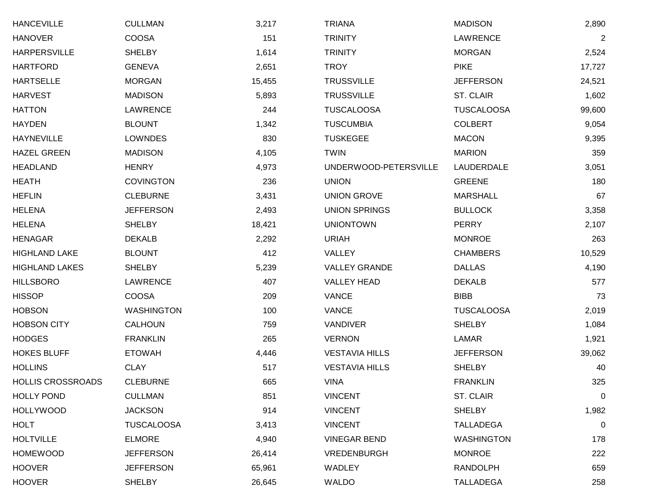| <b>HANCEVILLE</b>        | <b>CULLMAN</b>    | 3,217  | <b>TRIANA</b>         | <b>MADISON</b>    | 2,890          |
|--------------------------|-------------------|--------|-----------------------|-------------------|----------------|
| <b>HANOVER</b>           | <b>COOSA</b>      | 151    | <b>TRINITY</b>        | <b>LAWRENCE</b>   | $\overline{2}$ |
| <b>HARPERSVILLE</b>      | <b>SHELBY</b>     | 1,614  | <b>TRINITY</b>        | <b>MORGAN</b>     | 2,524          |
| <b>HARTFORD</b>          | <b>GENEVA</b>     | 2,651  | <b>TROY</b>           | <b>PIKE</b>       | 17,727         |
| <b>HARTSELLE</b>         | <b>MORGAN</b>     | 15,455 | <b>TRUSSVILLE</b>     | <b>JEFFERSON</b>  | 24,521         |
| <b>HARVEST</b>           | <b>MADISON</b>    | 5,893  | <b>TRUSSVILLE</b>     | ST. CLAIR         | 1,602          |
| <b>HATTON</b>            | LAWRENCE          | 244    | <b>TUSCALOOSA</b>     | <b>TUSCALOOSA</b> | 99,600         |
| <b>HAYDEN</b>            | <b>BLOUNT</b>     | 1,342  | <b>TUSCUMBIA</b>      | <b>COLBERT</b>    | 9,054          |
| <b>HAYNEVILLE</b>        | <b>LOWNDES</b>    | 830    | <b>TUSKEGEE</b>       | <b>MACON</b>      | 9,395          |
| <b>HAZEL GREEN</b>       | <b>MADISON</b>    | 4,105  | <b>TWIN</b>           | <b>MARION</b>     | 359            |
| <b>HEADLAND</b>          | <b>HENRY</b>      | 4,973  | UNDERWOOD-PETERSVILLE | LAUDERDALE        | 3,051          |
| <b>HEATH</b>             | <b>COVINGTON</b>  | 236    | <b>UNION</b>          | <b>GREENE</b>     | 180            |
| <b>HEFLIN</b>            | <b>CLEBURNE</b>   | 3,431  | <b>UNION GROVE</b>    | <b>MARSHALL</b>   | 67             |
| <b>HELENA</b>            | <b>JEFFERSON</b>  | 2,493  | <b>UNION SPRINGS</b>  | <b>BULLOCK</b>    | 3,358          |
| <b>HELENA</b>            | <b>SHELBY</b>     | 18,421 | <b>UNIONTOWN</b>      | <b>PERRY</b>      | 2,107          |
| <b>HENAGAR</b>           | <b>DEKALB</b>     | 2,292  | <b>URIAH</b>          | <b>MONROE</b>     | 263            |
| <b>HIGHLAND LAKE</b>     | <b>BLOUNT</b>     | 412    | VALLEY                | <b>CHAMBERS</b>   | 10,529         |
| <b>HIGHLAND LAKES</b>    | <b>SHELBY</b>     | 5,239  | <b>VALLEY GRANDE</b>  | <b>DALLAS</b>     | 4,190          |
| <b>HILLSBORO</b>         | <b>LAWRENCE</b>   | 407    | <b>VALLEY HEAD</b>    | <b>DEKALB</b>     | 577            |
| <b>HISSOP</b>            | <b>COOSA</b>      | 209    | <b>VANCE</b>          | <b>BIBB</b>       | 73             |
| <b>HOBSON</b>            | <b>WASHINGTON</b> | 100    | <b>VANCE</b>          | <b>TUSCALOOSA</b> | 2,019          |
| <b>HOBSON CITY</b>       | <b>CALHOUN</b>    | 759    | VANDIVER              | <b>SHELBY</b>     | 1,084          |
| <b>HODGES</b>            | <b>FRANKLIN</b>   | 265    | <b>VERNON</b>         | LAMAR             | 1,921          |
| <b>HOKES BLUFF</b>       | <b>ETOWAH</b>     | 4,446  | <b>VESTAVIA HILLS</b> | <b>JEFFERSON</b>  | 39,062         |
| <b>HOLLINS</b>           | <b>CLAY</b>       | 517    | <b>VESTAVIA HILLS</b> | <b>SHELBY</b>     | 40             |
| <b>HOLLIS CROSSROADS</b> | <b>CLEBURNE</b>   | 665    | <b>VINA</b>           | <b>FRANKLIN</b>   | 325            |
| <b>HOLLY POND</b>        | <b>CULLMAN</b>    | 851    | <b>VINCENT</b>        | ST. CLAIR         | 0              |
| <b>HOLLYWOOD</b>         | <b>JACKSON</b>    | 914    | <b>VINCENT</b>        | <b>SHELBY</b>     | 1,982          |
| <b>HOLT</b>              | <b>TUSCALOOSA</b> | 3,413  | <b>VINCENT</b>        | <b>TALLADEGA</b>  | 0              |
| <b>HOLTVILLE</b>         | <b>ELMORE</b>     | 4,940  | <b>VINEGAR BEND</b>   | <b>WASHINGTON</b> | 178            |
| <b>HOMEWOOD</b>          | <b>JEFFERSON</b>  | 26,414 | VREDENBURGH           | <b>MONROE</b>     | 222            |
| <b>HOOVER</b>            | <b>JEFFERSON</b>  | 65,961 | WADLEY                | <b>RANDOLPH</b>   | 659            |
| <b>HOOVER</b>            | <b>SHELBY</b>     | 26,645 | WALDO                 | <b>TALLADEGA</b>  | 258            |